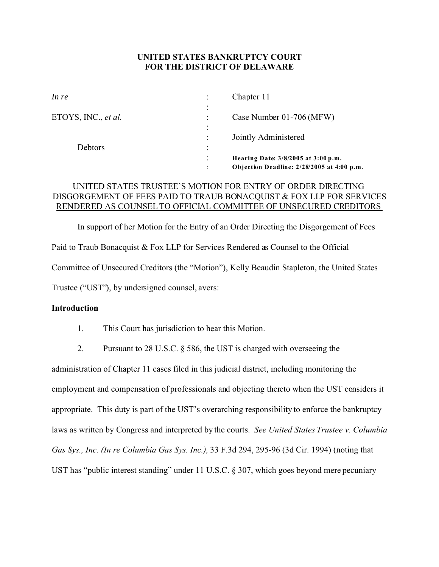## **UNITED STATES BANKRUPTCY COURT FOR THE DISTRICT OF DELAWARE**

| In re               |                        | Chapter 11                                 |
|---------------------|------------------------|--------------------------------------------|
|                     | $\bullet$<br>$\bullet$ |                                            |
| ETOYS, INC., et al. |                        | Case Number 01-706 (MFW)                   |
|                     | $\bullet$<br>$\bullet$ |                                            |
|                     |                        | Jointly Administered                       |
| Debtors             | ٠<br>$\bullet$         |                                            |
|                     | $\bullet$              | Hearing Date: 3/8/2005 at 3:00 p.m.        |
|                     | $\bullet$              | Objection Deadline: 2/28/2005 at 4:00 p.m. |

# UNITED STATES TRUSTEE'S MOTION FOR ENTRY OF ORDER DIRECTING DISGORGEMENT OF FEES PAID TO TRAUB BONACQUIST & FOX LLP FOR SERVICES RENDERED AS COUNSEL TO OFFICIAL COMMITTEE OF UNSECURED CREDITORS

In support of her Motion for the Entry of an Order Directing the Disgorgement of Fees Paid to Traub Bonacquist & Fox LLP for Services Rendered as Counsel to the Official Committee of Unsecured Creditors (the "Motion"), Kelly Beaudin Stapleton, the United States Trustee ("UST"), by undersigned counsel, avers:

## **Introduction**

- 1. This Court has jurisdiction to hear this Motion.
- 2. Pursuant to 28 U.S.C. § 586, the UST is charged with overseeing the

administration of Chapter 11 cases filed in this judicial district, including monitoring the employment and compensation of professionals and objecting thereto when the UST considers it appropriate. This duty is part of the UST's overarching responsibility to enforce the bankruptcy laws as written by Congress and interpreted by the courts. *See United States Trustee v. Columbia Gas Sys., Inc. (In re Columbia Gas Sys. Inc.),* 33 F.3d 294, 295-96 (3d Cir. 1994) (noting that UST has "public interest standing" under 11 U.S.C. § 307, which goes beyond mere pecuniary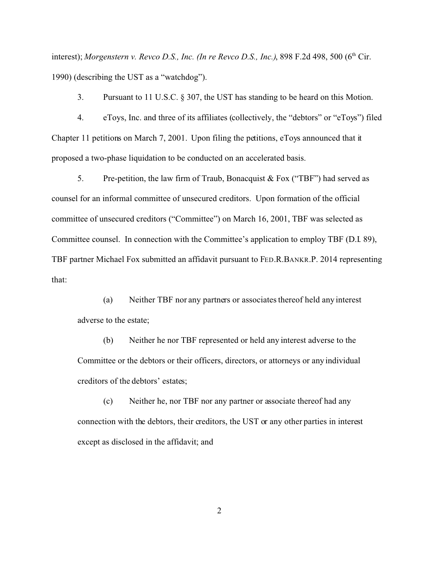interest); *Morgenstern v. Revco D.S., Inc. (In re Revco D.S., Inc.)*, 898 F.2d 498, 500 (6<sup>th</sup> Cir. 1990) (describing the UST as a "watchdog").

3. Pursuant to 11 U.S.C. § 307, the UST has standing to be heard on this Motion.

4. eToys, Inc. and three of its affiliates (collectively, the "debtors" or "eToys") filed Chapter 11 petitions on March 7, 2001. Upon filing the petitions, eToys announced that it proposed a two-phase liquidation to be conducted on an accelerated basis.

5. Pre-petition, the law firm of Traub, Bonacquist & Fox ("TBF") had served as counsel for an informal committee of unsecured creditors. Upon formation of the official committee of unsecured creditors ("Committee") on March 16, 2001, TBF was selected as Committee counsel. In connection with the Committee's application to employ TBF (D.I. 89), TBF partner Michael Fox submitted an affidavit pursuant to FED.R.BANKR.P. 2014 representing that:

(a) Neither TBF nor any partners or associates thereof held any interest adverse to the estate;

(b) Neither he nor TBF represented or held any interest adverse to the Committee or the debtors or their officers, directors, or attorneys or any individual creditors of the debtors' estates;

(c) Neither he, nor TBF nor any partner or associate thereof had any connection with the debtors, their creditors, the UST or any other parties in interest except as disclosed in the affidavit; and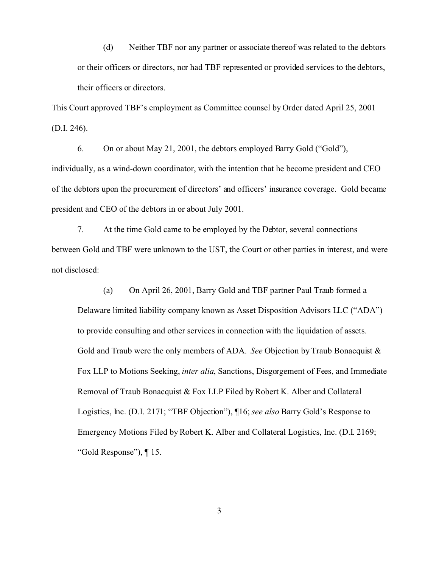(d) Neither TBF nor any partner or associate thereof was related to the debtors or their officers or directors, nor had TBF represented or provided services to the debtors, their officers or directors.

This Court approved TBF's employment as Committee counsel by Order dated April 25, 2001 (D.I. 246).

6. On or about May 21, 2001, the debtors employed Barry Gold ("Gold"), individually, as a wind-down coordinator, with the intention that he become president and CEO of the debtors upon the procurement of directors' and officers' insurance coverage. Gold became president and CEO of the debtors in or about July 2001.

7. At the time Gold came to be employed by the Debtor, several connections between Gold and TBF were unknown to the UST, the Court or other parties in interest, and were not disclosed:

(a) On April 26, 2001, Barry Gold and TBF partner Paul Traub formed a Delaware limited liability company known as Asset Disposition Advisors LLC ("ADA") to provide consulting and other services in connection with the liquidation of assets. Gold and Traub were the only members of ADA. *See* Objection by Traub Bonacquist & Fox LLP to Motions Seeking, *inter alia*, Sanctions, Disgorgement of Fees, and Immediate Removal of Traub Bonacquist & Fox LLP Filed by Robert K. Alber and Collateral Logistics, Inc. (D.I. 2171; "TBF Objection"), ¶16; *see also* Barry Gold's Response to Emergency Motions Filed by Robert K. Alber and Collateral Logistics, Inc. (D.I. 2169; "Gold Response"), ¶ 15.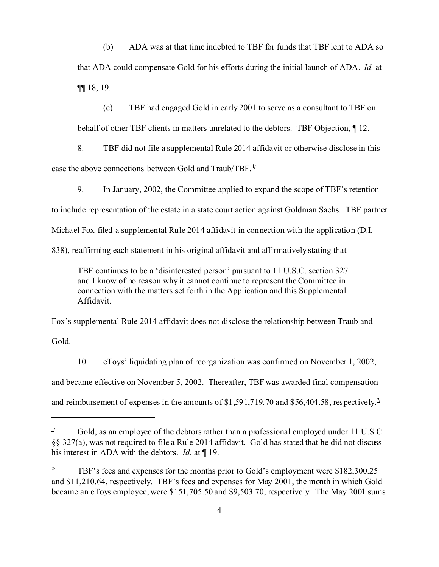(b) ADA was at that time indebted to TBF for funds that TBF lent to ADA so that ADA could compensate Gold for his efforts during the initial launch of ADA. *Id.* at ¶¶ 18, 19.

(c) TBF had engaged Gold in early 2001 to serve as a consultant to TBF on behalf of other TBF clients in matters unrelated to the debtors. TBF Objection, ¶ 12.

8. TBF did not file a supplemental Rule 2014 affidavit or otherwise disclose in this case the above connections between Gold and Traub/TBF.<sup>1/</sup>

9. In January, 2002, the Committee applied to expand the scope of TBF's retention

to include representation of the estate in a state court action against Goldman Sachs. TBF partner

Michael Fox filed a supplemental Rule 2014 affidavit in connection with the application (D.I.

838), reaffirming each statement in his original affidavit and affirmatively stating that

TBF continues to be a 'disinterested person' pursuant to 11 U.S.C. section 327 and I know of no reason why it cannot continue to represent the Committee in connection with the matters set forth in the Application and this Supplemental Affidavit.

Fox's supplemental Rule 2014 affidavit does not disclose the relationship between Traub and Gold.

10. eToys' liquidating plan of reorganization was confirmed on November 1, 2002, and became effective on November 5, 2002. Thereafter, TBF was awarded final compensation and reimbursement of expenses in the amounts of \$1,591,719.70 and \$56,404.58, respectively.<sup>2</sup>

<sup>&</sup>lt;sup>1</sup> Gold, as an employee of the debtors rather than a professional employed under 11 U.S.C. §§ 327(a), was not required to file a Rule 2014 affidavit. Gold has stated that he did not discuss his interest in ADA with the debtors. *Id.* at ¶ 19.

<sup>&</sup>lt;sup>2</sup> TBF's fees and expenses for the months prior to Gold's employment were \$182,300.25 and \$11,210.64, respectively. TBF's fees and expenses for May 2001, the month in which Gold became an eToys employee, were \$151,705.50 and \$9,503.70, respectively. The May 2001 sums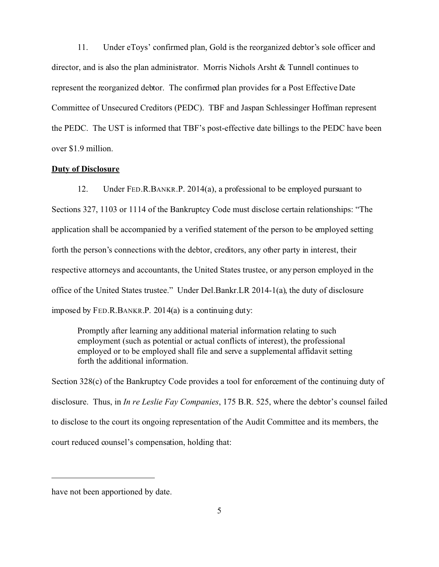11. Under eToys' confirmed plan, Gold is the reorganized debtor's sole officer and director, and is also the plan administrator. Morris Nichols Arsht & Tunnell continues to represent the reorganized debtor. The confirmed plan provides for a Post Effective Date Committee of Unsecured Creditors (PEDC). TBF and Jaspan Schlessinger Hoffman represent the PEDC. The UST is informed that TBF's post-effective date billings to the PEDC have been over \$1.9 million.

### **Duty of Disclosure**

12. Under FED.R.BANKR.P. 2014(a), a professional to be employed pursuant to Sections 327, 1103 or 1114 of the Bankruptcy Code must disclose certain relationships: "The application shall be accompanied by a verified statement of the person to be employed setting forth the person's connections with the debtor, creditors, any other party in interest, their respective attorneys and accountants, the United States trustee, or any person employed in the office of the United States trustee." Under Del.Bankr.LR 2014-1(a), the duty of disclosure imposed by FED.R.BANKR.P. 2014(a) is a continuing duty:

Promptly after learning any additional material information relating to such employment (such as potential or actual conflicts of interest), the professional employed or to be employed shall file and serve a supplemental affidavit setting forth the additional information.

Section 328(c) of the Bankruptcy Code provides a tool for enforcement of the continuing duty of disclosure. Thus, in *In re Leslie Fay Companies*, 175 B.R. 525, where the debtor's counsel failed to disclose to the court its ongoing representation of the Audit Committee and its members, the court reduced counsel's compensation, holding that:

have not been apportioned by date.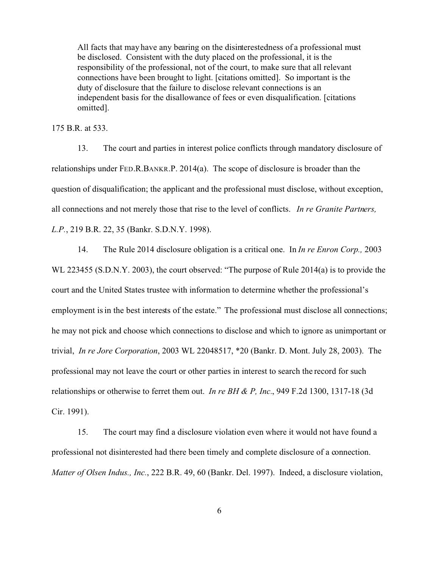All facts that may have any bearing on the disinterestedness of a professional must be disclosed. Consistent with the duty placed on the professional, it is the responsibility of the professional, not of the court, to make sure that all relevant connections have been brought to light. [citations omitted]. So important is the duty of disclosure that the failure to disclose relevant connections is an independent basis for the disallowance of fees or even disqualification. [citations omitted].

175 B.R. at 533.

13. The court and parties in interest police conflicts through mandatory disclosure of relationships under FED.R.BANKR.P. 2014(a). The scope of disclosure is broader than the question of disqualification; the applicant and the professional must disclose, without exception, all connections and not merely those that rise to the level of conflicts. *In re Granite Partners, L.P.*, 219 B.R. 22, 35 (Bankr. S.D.N.Y. 1998).

14. The Rule 2014 disclosure obligation is a critical one. In *In re Enron Corp.,* 2003 WL 223455 (S.D.N.Y. 2003), the court observed: "The purpose of Rule 2014(a) is to provide the court and the United States trustee with information to determine whether the professional's employment is in the best interests of the estate." The professional must disclose all connections; he may not pick and choose which connections to disclose and which to ignore as unimportant or trivial, *In re Jore Corporation*, 2003 WL 22048517, \*20 (Bankr. D. Mont. July 28, 2003). The professional may not leave the court or other parties in interest to search the record for such relationships or otherwise to ferret them out. *In re BH & P, Inc.*, 949 F.2d 1300, 1317-18 (3d Cir. 1991).

15. The court may find a disclosure violation even where it would not have found a professional not disinterested had there been timely and complete disclosure of a connection. *Matter of Olsen Indus., Inc.*, 222 B.R. 49, 60 (Bankr. Del. 1997). Indeed, a disclosure violation,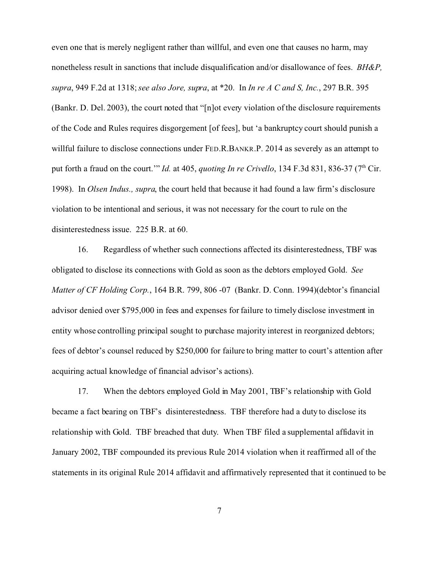even one that is merely negligent rather than willful, and even one that causes no harm, may nonetheless result in sanctions that include disqualification and/or disallowance of fees. *BH&P, supra*, 949 F.2d at 1318; *see also Jore, supra*, at \*20. In *In re A C and S, Inc.*, 297 B.R. 395 (Bankr. D. Del. 2003), the court noted that "[n]ot every violation of the disclosure requirements of the Code and Rules requires disgorgement [of fees], but 'a bankruptcy court should punish a willful failure to disclose connections under FED.R.BANKR.P. 2014 as severely as an attempt to put forth a fraud on the court." *Id.* at 405, *quoting In re Crivello*, 134 F.3d 831, 836-37 (7<sup>th</sup> Cir. 1998). In *Olsen Indus., supra*, the court held that because it had found a law firm's disclosure violation to be intentional and serious, it was not necessary for the court to rule on the disinterestedness issue. 225 B.R. at 60.

16. Regardless of whether such connections affected its disinterestedness, TBF was obligated to disclose its connections with Gold as soon as the debtors employed Gold. *See Matter of CF Holding Corp.*, 164 B.R. 799, 806 -07 (Bankr. D. Conn. 1994)(debtor's financial advisor denied over \$795,000 in fees and expenses for failure to timely disclose investment in entity whose controlling principal sought to purchase majority interest in reorganized debtors; fees of debtor's counsel reduced by \$250,000 for failure to bring matter to court's attention after acquiring actual knowledge of financial advisor's actions).

17. When the debtors employed Gold in May 2001, TBF's relationship with Gold became a fact bearing on TBF's disinterestedness. TBF therefore had a duty to disclose its relationship with Gold. TBF breached that duty. When TBF filed a supplemental affidavit in January 2002, TBF compounded its previous Rule 2014 violation when it reaffirmed all of the statements in its original Rule 2014 affidavit and affirmatively represented that it continued to be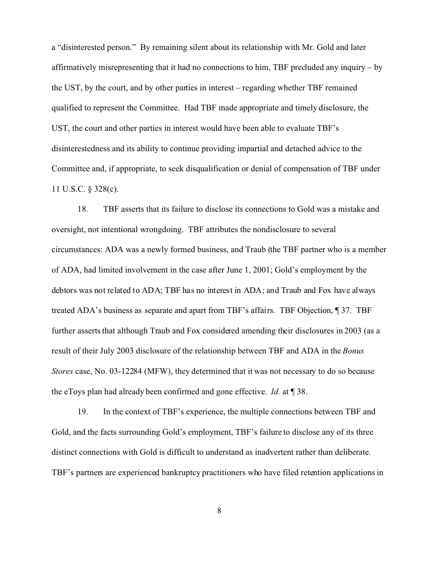a "disinterested person." By remaining silent about its relationship with Mr. Gold and later affirmatively misrepresenting that it had no connections to him, TBF precluded any inquiry – by the UST, by the court, and by other parties in interest – regarding whether TBF remained qualified to represent the Committee. Had TBF made appropriate and timely disclosure, the UST, the court and other parties in interest would have been able to evaluate TBF's disinterestedness and its ability to continue providing impartial and detached advice to the Committee and, if appropriate, to seek disqualification or denial of compensation of TBF under 11 U.S.C. § 328(c).

18. TBF asserts that its failure to disclose its connections to Gold was a mistake and oversight, not intentional wrongdoing. TBF attributes the nondisclosure to several circumstances: ADA was a newly formed business, and Traub (the TBF partner who is a member of ADA, had limited involvement in the case after June 1, 2001; Gold's employment by the debtors was not related to ADA; TBF has no interest in ADA; and Traub and Fox have always treated ADA's business as separate and apart from TBF's affairs. TBF Objection, ¶ 37. TBF further asserts that although Traub and Fox considered amending their disclosures in 2003 (as a result of their July 2003 disclosure of the relationship between TBF and ADA in the *Bonus Stores* case, No. 03-12284 (MFW), they determined that it was not necessary to do so because the eToys plan had already been confirmed and gone effective. *Id.* at ¶ 38.

19. In the context of TBF's experience, the multiple connections between TBF and Gold, and the facts surrounding Gold's employment, TBF's failure to disclose any of its three distinct connections with Gold is difficult to understand as inadvertent rather than deliberate. TBF's partners are experienced bankruptcy practitioners who have filed retention applications in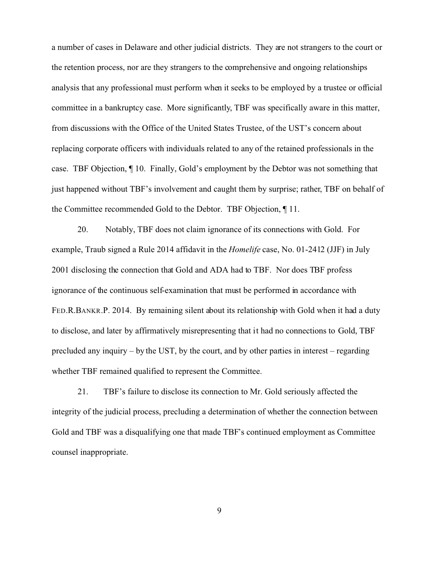a number of cases in Delaware and other judicial districts. They are not strangers to the court or the retention process, nor are they strangers to the comprehensive and ongoing relationships analysis that any professional must perform when it seeks to be employed by a trustee or official committee in a bankruptcy case. More significantly, TBF was specifically aware in this matter, from discussions with the Office of the United States Trustee, of the UST's concern about replacing corporate officers with individuals related to any of the retained professionals in the case. TBF Objection, ¶ 10. Finally, Gold's employment by the Debtor was not something that just happened without TBF's involvement and caught them by surprise; rather, TBF on behalf of the Committee recommended Gold to the Debtor. TBF Objection, ¶ 11.

20. Notably, TBF does not claim ignorance of its connections with Gold. For example, Traub signed a Rule 2014 affidavit in the *Homelife* case, No. 01-2412 (JJF) in July 2001 disclosing the connection that Gold and ADA had to TBF. Nor does TBF profess ignorance of the continuous self-examination that must be performed in accordance with FED.R.BANKR.P. 2014. By remaining silent about its relationship with Gold when it had a duty to disclose, and later by affirmatively misrepresenting that it had no connections to Gold, TBF precluded any inquiry – by the UST, by the court, and by other parties in interest – regarding whether TBF remained qualified to represent the Committee.

21. TBF's failure to disclose its connection to Mr. Gold seriously affected the integrity of the judicial process, precluding a determination of whether the connection between Gold and TBF was a disqualifying one that made TBF's continued employment as Committee counsel inappropriate.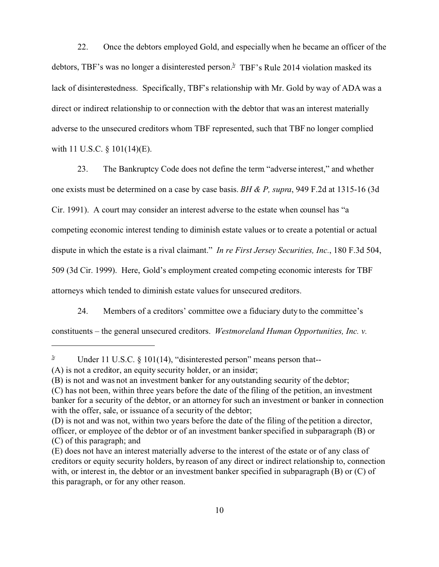22. Once the debtors employed Gold, and especially when he became an officer of the debtors, TBF's was no longer a disinterested person.<sup>3</sup> TBF's Rule 2014 violation masked its lack of disinterestedness. Specifically, TBF's relationship with Mr. Gold by way of ADA was a direct or indirect relationship to or connection with the debtor that was an interest materially adverse to the unsecured creditors whom TBF represented, such that TBF no longer complied with 11 U.S.C. § 101(14)(E).

23. The Bankruptcy Code does not define the term "adverse interest," and whether one exists must be determined on a case by case basis. *BH & P, supra*, 949 F.2d at 1315-16 (3d Cir. 1991). A court may consider an interest adverse to the estate when counsel has "a competing economic interest tending to diminish estate values or to create a potential or actual dispute in which the estate is a rival claimant." *In re First Jersey Securities, Inc.*, 180 F.3d 504, 509 (3d Cir. 1999). Here, Gold's employment created competing economic interests for TBF attorneys which tended to diminish estate values for unsecured creditors.

24. Members of a creditors' committee owe a fiduciary duty to the committee's

constituents – the general unsecured creditors. *Westmoreland Human Opportunities, Inc. v.*

<sup>&</sup>lt;sup> $3/$ </sup> Under 11 U.S.C. § 101(14), "disinterested person" means person that--

<sup>(</sup>A) is not a creditor, an equity security holder, or an insider;

<sup>(</sup>B) is not and was not an investment banker for any outstanding security of the debtor;

<sup>(</sup>C) has not been, within three years before the date of the filing of the petition, an investment banker for a security of the debtor, or an attorney for such an investment or banker in connection with the offer, sale, or issuance of a security of the debtor;

<sup>(</sup>D) is not and was not, within two years before the date of the filing of the petition a director, officer, or employee of the debtor or of an investment banker specified in subparagraph (B) or (C) of this paragraph; and

<sup>(</sup>E) does not have an interest materially adverse to the interest of the estate or of any class of creditors or equity security holders, by reason of any direct or indirect relationship to, connection with, or interest in, the debtor or an investment banker specified in subparagraph (B) or (C) of this paragraph, or for any other reason.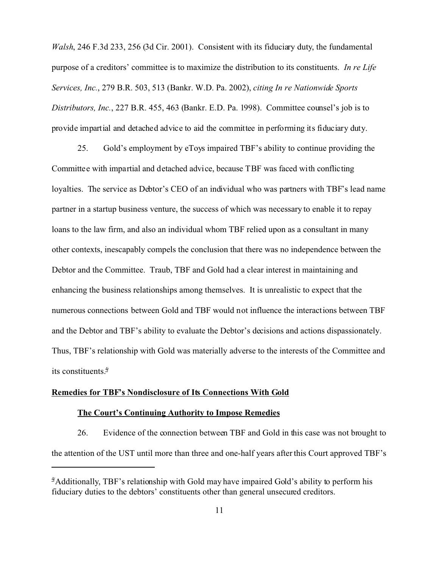*Walsh*, 246 F.3d 233, 256 (3d Cir. 2001). Consistent with its fiduciary duty, the fundamental purpose of a creditors' committee is to maximize the distribution to its constituents. *In re Life Services, Inc.*, 279 B.R. 503, 513 (Bankr. W.D. Pa. 2002), *citing In re Nationwide Sports Distributors, Inc.*, 227 B.R. 455, 463 (Bankr. E.D. Pa. 1998). Committee counsel's job is to provide impartial and detached advice to aid the committee in performing its fiduciary duty.

25. Gold's employment by eToys impaired TBF's ability to continue providing the Committee with impartial and detached advice, because TBF was faced with conflicting loyalties. The service as Debtor's CEO of an individual who was partners with TBF's lead name partner in a startup business venture, the success of which was necessary to enable it to repay loans to the law firm, and also an individual whom TBF relied upon as a consultant in many other contexts, inescapably compels the conclusion that there was no independence between the Debtor and the Committee. Traub, TBF and Gold had a clear interest in maintaining and enhancing the business relationships among themselves. It is unrealistic to expect that the numerous connections between Gold and TBF would not influence the interactions between TBF and the Debtor and TBF's ability to evaluate the Debtor's decisions and actions dispassionately. Thus, TBF's relationship with Gold was materially adverse to the interests of the Committee and its constituents.<sup>4</sup>**/**

#### **Remedies for TBF's Nondisclosure of Its Connections With Gold**

## **The Court's Continuing Authority to Impose Remedies**

26. Evidence of the connection between TBF and Gold in this case was not brought to the attention of the UST until more than three and one-half years after this Court approved TBF's

<sup>&</sup>lt;sup>4</sup>/Additionally, TBF's relationship with Gold may have impaired Gold's ability to perform his fiduciary duties to the debtors' constituents other than general unsecured creditors.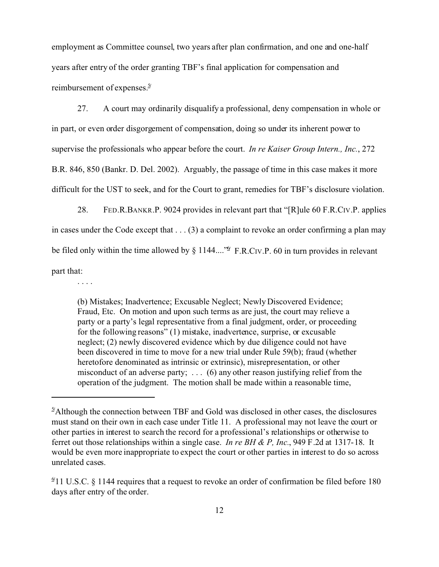employment as Committee counsel, two years after plan confirmation, and one and one-half years after entry of the order granting TBF's final application for compensation and reimbursement of expenses.<sup>5</sup>**/**

27. A court may ordinarily disqualify a professional, deny compensation in whole or in part, or even order disgorgement of compensation, doing so under its inherent power to supervise the professionals who appear before the court. *In re Kaiser Group Intern., Inc.*, 272 B.R. 846, 850 (Bankr. D. Del. 2002). Arguably, the passage of time in this case makes it more difficult for the UST to seek, and for the Court to grant, remedies for TBF's disclosure violation.

28. FED.R.BANKR.P. 9024 provides in relevant part that "[R]ule 60 F.R.CIV.P. applies in cases under the Code except that . . . (3) a complaint to revoke an order confirming a plan may be filed only within the time allowed by § 1144....<sup>" $\mathfrak{D}$ </sup> F.R.CIV.P. 60 in turn provides in relevant part that:

. . . .

(b) Mistakes; Inadvertence; Excusable Neglect; Newly Discovered Evidence; Fraud, Etc. On motion and upon such terms as are just, the court may relieve a party or a party's legal representative from a final judgment, order, or proceeding for the following reasons" (1) mistake, inadvertence, surprise, or excusable neglect; (2) newly discovered evidence which by due diligence could not have been discovered in time to move for a new trial under Rule 59(b); fraud (whether heretofore denominated as intrinsic or extrinsic), misrepresentation, or other misconduct of an adverse party; . . . (6) any other reason justifying relief from the operation of the judgment. The motion shall be made within a reasonable time,

<sup>&</sup>lt;sup>2</sup>/Although the connection between TBF and Gold was disclosed in other cases, the disclosures must stand on their own in each case under Title 11. A professional may not leave the court or other parties in interest to search the record for a professional's relationships or otherwise to ferret out those relationships within a single case. *In re BH & P, Inc.*, 949 F.2d at 1317-18. It would be even more inappropriate to expect the court or other parties in interest to do so across unrelated cases.

<sup>&</sup>lt;sup>9</sup> 11 U.S.C. § 1144 requires that a request to revoke an order of confirmation be filed before 180 days after entry of the order.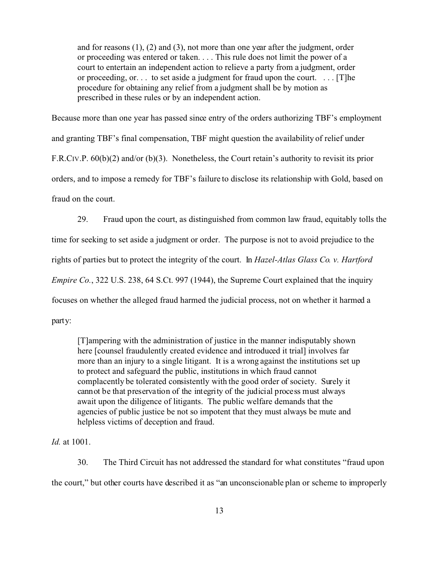and for reasons (1), (2) and (3), not more than one year after the judgment, order or proceeding was entered or taken. . . . This rule does not limit the power of a court to entertain an independent action to relieve a party from a judgment, order or proceeding, or. . . to set aside a judgment for fraud upon the court. . . . [T]he procedure for obtaining any relief from a judgment shall be by motion as prescribed in these rules or by an independent action.

Because more than one year has passed since entry of the orders authorizing TBF's employment and granting TBF's final compensation, TBF might question the availability of relief under F.R.CIV.P. 60(b)(2) and/or (b)(3). Nonetheless, the Court retain's authority to revisit its prior orders, and to impose a remedy for TBF's failure to disclose its relationship with Gold, based on fraud on the court.

29. Fraud upon the court, as distinguished from common law fraud, equitably tolls the time for seeking to set aside a judgment or order. The purpose is not to avoid prejudice to the rights of parties but to protect the integrity of the court. In *Hazel-Atlas Glass Co. v. Hartford Empire Co.*, 322 U.S. 238, 64 S.Ct. 997 (1944), the Supreme Court explained that the inquiry focuses on whether the alleged fraud harmed the judicial process, not on whether it harmed a party:

[T]ampering with the administration of justice in the manner indisputably shown here [counsel fraudulently created evidence and introduced it trial] involves far more than an injury to a single litigant. It is a wrong against the institutions set up to protect and safeguard the public, institutions in which fraud cannot complacently be tolerated consistently with the good order of society. Surely it cannot be that preservation of the integrity of the judicial process must always await upon the diligence of litigants. The public welfare demands that the agencies of public justice be not so impotent that they must always be mute and helpless victims of deception and fraud.

*Id.* at 1001.

30. The Third Circuit has not addressed the standard for what constitutes "fraud upon the court," but other courts have described it as "an unconscionable plan or scheme to improperly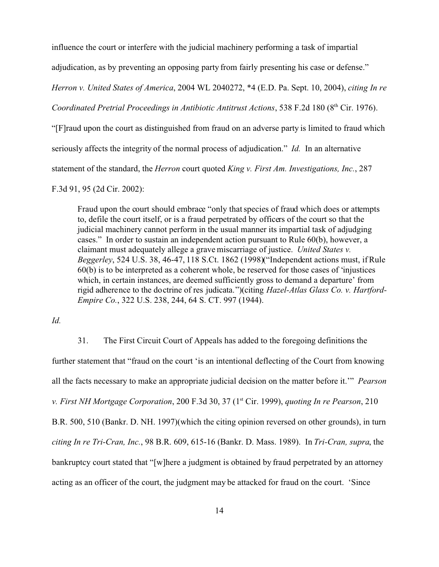influence the court or interfere with the judicial machinery performing a task of impartial

adjudication, as by preventing an opposing party from fairly presenting his case or defense."

*Herron v. United States of America*, 2004 WL 2040272, \*4 (E.D. Pa. Sept. 10, 2004), *citing In re*

*Coordinated Pretrial Proceedings in Antibiotic Antitrust Actions*, 538 F.2d 180 (8<sup>th</sup> Cir. 1976).

"[F]raud upon the court as distinguished from fraud on an adverse party is limited to fraud which

seriously affects the integrity of the normal process of adjudication." *Id.* In an alternative

statement of the standard, the *Herron* court quoted *King v. First Am. Investigations, Inc.*, 287

F.3d 91, 95 (2d Cir. 2002):

Fraud upon the court should embrace "only that species of fraud which does or attempts to, defile the court itself, or is a fraud perpetrated by officers of the court so that the judicial machinery cannot perform in the usual manner its impartial task of adjudging cases." In order to sustain an independent action pursuant to Rule 60(b), however, a claimant must adequately allege a grave miscarriage of justice. *United States v. Beggerley*, 524 U.S. 38, 46-47, 118 S.Ct. 1862 (1998)("Independent actions must, if Rule 60(b) is to be interpreted as a coherent whole, be reserved for those cases of 'injustices which, in certain instances, are deemed sufficiently gross to demand a departure' from rigid adherence to the doctrine of res judicata.")(citing *Hazel-Atlas Glass Co. v. Hartford-Empire Co.*, 322 U.S. 238, 244, 64 S. CT. 997 (1944).

*Id.* 

31. The First Circuit Court of Appeals has added to the foregoing definitions the

further statement that "fraud on the court 'is an intentional deflecting of the Court from knowing all the facts necessary to make an appropriate judicial decision on the matter before it.'" *Pearson v. First NH Mortgage Corporation*, 200 F.3d 30, 37 (1st Cir. 1999), *quoting In re Pearson*, 210 B.R. 500, 510 (Bankr. D. NH. 1997)(which the citing opinion reversed on other grounds), in turn *citing In re Tri-Cran, Inc.*, 98 B.R. 609, 615-16 (Bankr. D. Mass. 1989). In *Tri-Cran, supra*, the bankruptcy court stated that "[w]here a judgment is obtained by fraud perpetrated by an attorney acting as an officer of the court, the judgment may be attacked for fraud on the court. 'Since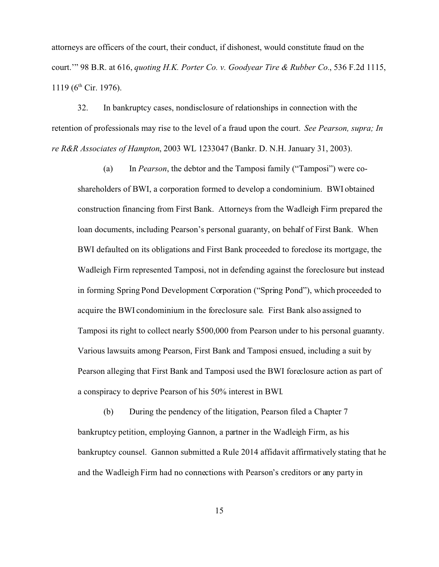attorneys are officers of the court, their conduct, if dishonest, would constitute fraud on the court.'" 98 B.R. at 616, *quoting H.K. Porter Co. v. Goodyear Tire & Rubber Co.*, 536 F.2d 1115,  $1119$  (6<sup>th</sup> Cir. 1976).

32. In bankruptcy cases, nondisclosure of relationships in connection with the retention of professionals may rise to the level of a fraud upon the court. *See Pearson, supra; In re R&R Associates of Hampton*, 2003 WL 1233047 (Bankr. D. N.H. January 31, 2003).

(a) In *Pearson*, the debtor and the Tamposi family ("Tamposi") were coshareholders of BWI, a corporation formed to develop a condominium. BWI obtained construction financing from First Bank. Attorneys from the Wadleigh Firm prepared the loan documents, including Pearson's personal guaranty, on behalf of First Bank. When BWI defaulted on its obligations and First Bank proceeded to foreclose its mortgage, the Wadleigh Firm represented Tamposi, not in defending against the foreclosure but instead in forming Spring Pond Development Corporation ("Spring Pond"), which proceeded to acquire the BWI condominium in the foreclosure sale. First Bank also assigned to Tamposi its right to collect nearly \$500,000 from Pearson under to his personal guaranty. Various lawsuits among Pearson, First Bank and Tamposi ensued, including a suit by Pearson alleging that First Bank and Tamposi used the BWI foreclosure action as part of a conspiracy to deprive Pearson of his 50% interest in BWI.

(b) During the pendency of the litigation, Pearson filed a Chapter 7 bankruptcy petition, employing Gannon, a partner in the Wadleigh Firm, as his bankruptcy counsel. Gannon submitted a Rule 2014 affidavit affirmatively stating that he and the Wadleigh Firm had no connections with Pearson's creditors or any party in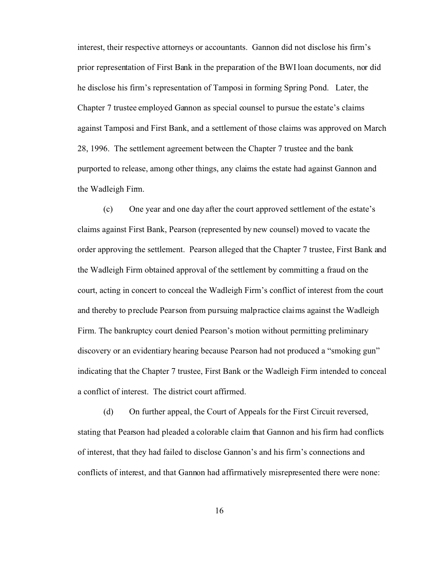interest, their respective attorneys or accountants. Gannon did not disclose his firm's prior representation of First Bank in the preparation of the BWI loan documents, nor did he disclose his firm's representation of Tamposi in forming Spring Pond. Later, the Chapter 7 trustee employed Gannon as special counsel to pursue the estate's claims against Tamposi and First Bank, and a settlement of those claims was approved on March 28, 1996. The settlement agreement between the Chapter 7 trustee and the bank purported to release, among other things, any claims the estate had against Gannon and the Wadleigh Firm.

(c) One year and one day after the court approved settlement of the estate's claims against First Bank, Pearson (represented by new counsel) moved to vacate the order approving the settlement. Pearson alleged that the Chapter 7 trustee, First Bank and the Wadleigh Firm obtained approval of the settlement by committing a fraud on the court, acting in concert to conceal the Wadleigh Firm's conflict of interest from the court and thereby to preclude Pearson from pursuing malpractice claims against the Wadleigh Firm. The bankruptcy court denied Pearson's motion without permitting preliminary discovery or an evidentiary hearing because Pearson had not produced a "smoking gun" indicating that the Chapter 7 trustee, First Bank or the Wadleigh Firm intended to conceal a conflict of interest. The district court affirmed.

(d) On further appeal, the Court of Appeals for the First Circuit reversed, stating that Pearson had pleaded a colorable claim that Gannon and his firm had conflicts of interest, that they had failed to disclose Gannon's and his firm's connections and conflicts of interest, and that Gannon had affirmatively misrepresented there were none: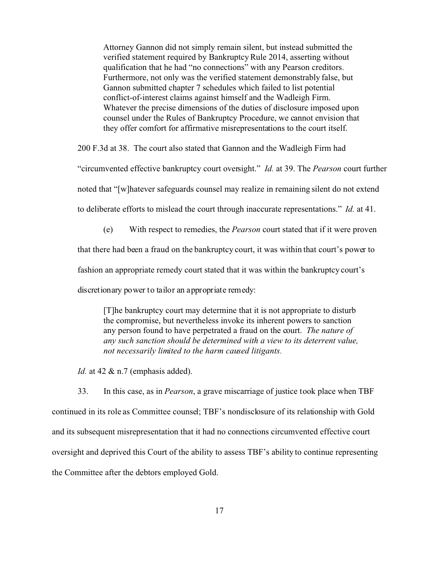Attorney Gannon did not simply remain silent, but instead submitted the verified statement required by Bankruptcy Rule 2014, asserting without qualification that he had "no connections" with any Pearson creditors. Furthermore, not only was the verified statement demonstrably false, but Gannon submitted chapter 7 schedules which failed to list potential conflict-of-interest claims against himself and the Wadleigh Firm. Whatever the precise dimensions of the duties of disclosure imposed upon counsel under the Rules of Bankruptcy Procedure, we cannot envision that they offer comfort for affirmative misrepresentations to the court itself.

200 F.3d at 38. The court also stated that Gannon and the Wadleigh Firm had

"circumvented effective bankruptcy court oversight." *Id.* at 39. The *Pearson* court further

noted that "[w]hatever safeguards counsel may realize in remaining silent do not extend

to deliberate efforts to mislead the court through inaccurate representations." *Id.* at 41.

(e) With respect to remedies, the *Pearson* court stated that if it were proven

that there had been a fraud on the bankruptcy court, it was within that court's power to

fashion an appropriate remedy court stated that it was within the bankruptcy court's

discretionary power to tailor an appropriate remedy:

[T]he bankruptcy court may determine that it is not appropriate to disturb the compromise, but nevertheless invoke its inherent powers to sanction any person found to have perpetrated a fraud on the court. *The nature of any such sanction should be determined with a view to its deterrent value, not necessarily limited to the harm caused litigants.*

*Id.* at 42 & n.7 (emphasis added).

33. In this case, as in *Pearson*, a grave miscarriage of justice took place when TBF continued in its role as Committee counsel; TBF's nondisclosure of its relationship with Gold and its subsequent misrepresentation that it had no connections circumvented effective court oversight and deprived this Court of the ability to assess TBF's ability to continue representing the Committee after the debtors employed Gold.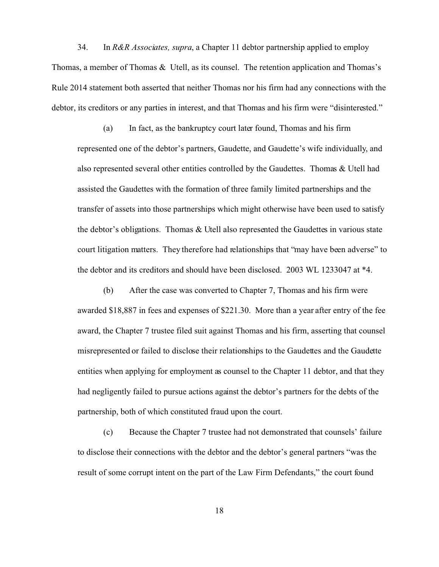34. In *R&R Associates, supra*, a Chapter 11 debtor partnership applied to employ Thomas, a member of Thomas & Utell, as its counsel. The retention application and Thomas's Rule 2014 statement both asserted that neither Thomas nor his firm had any connections with the debtor, its creditors or any parties in interest, and that Thomas and his firm were "disinterested."

(a) In fact, as the bankruptcy court later found, Thomas and his firm represented one of the debtor's partners, Gaudette, and Gaudette's wife individually, and also represented several other entities controlled by the Gaudettes. Thomas & Utell had assisted the Gaudettes with the formation of three family limited partnerships and the transfer of assets into those partnerships which might otherwise have been used to satisfy the debtor's obligations. Thomas & Utell also represented the Gaudettes in various state court litigation matters. They therefore had relationships that "may have been adverse" to the debtor and its creditors and should have been disclosed. 2003 WL 1233047 at \*4.

(b) After the case was converted to Chapter 7, Thomas and his firm were awarded \$18,887 in fees and expenses of \$221.30. More than a year after entry of the fee award, the Chapter 7 trustee filed suit against Thomas and his firm, asserting that counsel misrepresented or failed to disclose their relationships to the Gaudettes and the Gaudette entities when applying for employment as counsel to the Chapter 11 debtor, and that they had negligently failed to pursue actions against the debtor's partners for the debts of the partnership, both of which constituted fraud upon the court.

(c) Because the Chapter 7 trustee had not demonstrated that counsels' failure to disclose their connections with the debtor and the debtor's general partners "was the result of some corrupt intent on the part of the Law Firm Defendants," the court found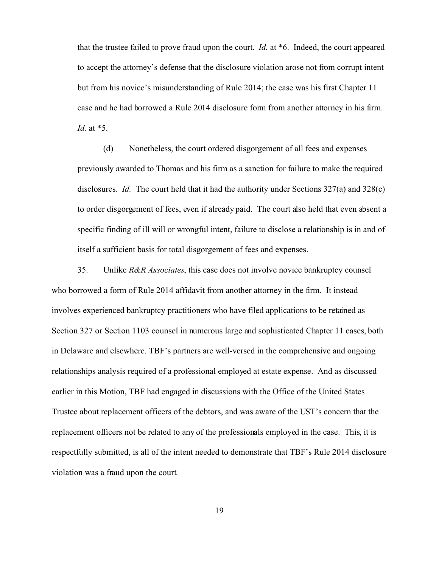that the trustee failed to prove fraud upon the court. *Id.* at \*6. Indeed, the court appeared to accept the attorney's defense that the disclosure violation arose not from corrupt intent but from his novice's misunderstanding of Rule 2014; the case was his first Chapter 11 case and he had borrowed a Rule 2014 disclosure form from another attorney in his firm. *Id.* at \*5.

(d) Nonetheless, the court ordered disgorgement of all fees and expenses previously awarded to Thomas and his firm as a sanction for failure to make the required disclosures. *Id.* The court held that it had the authority under Sections 327(a) and 328(c) to order disgorgement of fees, even if already paid. The court also held that even absent a specific finding of ill will or wrongful intent, failure to disclose a relationship is in and of itself a sufficient basis for total disgorgement of fees and expenses.

35. Unlike *R&R Associates*, this case does not involve novice bankruptcy counsel who borrowed a form of Rule 2014 affidavit from another attorney in the firm. It instead involves experienced bankruptcy practitioners who have filed applications to be retained as Section 327 or Section 1103 counsel in numerous large and sophisticated Chapter 11 cases, both in Delaware and elsewhere. TBF's partners are well-versed in the comprehensive and ongoing relationships analysis required of a professional employed at estate expense. And as discussed earlier in this Motion, TBF had engaged in discussions with the Office of the United States Trustee about replacement officers of the debtors, and was aware of the UST's concern that the replacement officers not be related to any of the professionals employed in the case. This, it is respectfully submitted, is all of the intent needed to demonstrate that TBF's Rule 2014 disclosure violation was a fraud upon the court.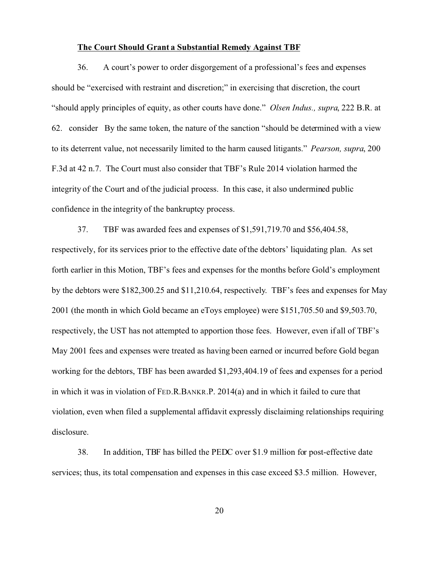## **The Court Should Grant a Substantial Remedy Against TBF**

36. A court's power to order disgorgement of a professional's fees and expenses should be "exercised with restraint and discretion;" in exercising that discretion, the court "should apply principles of equity, as other courts have done." *Olsen Indus., supra*, 222 B.R. at 62. consider By the same token, the nature of the sanction "should be determined with a view to its deterrent value, not necessarily limited to the harm caused litigants." *Pearson, supra*, 200 F.3d at 42 n.7. The Court must also consider that TBF's Rule 2014 violation harmed the integrity of the Court and of the judicial process. In this case, it also undermined public confidence in the integrity of the bankruptcy process.

37. TBF was awarded fees and expenses of \$1,591,719.70 and \$56,404.58, respectively, for its services prior to the effective date of the debtors' liquidating plan. As set forth earlier in this Motion, TBF's fees and expenses for the months before Gold's employment by the debtors were \$182,300.25 and \$11,210.64, respectively. TBF's fees and expenses for May 2001 (the month in which Gold became an eToys employee) were \$151,705.50 and \$9,503.70, respectively, the UST has not attempted to apportion those fees. However, even if all of TBF's May 2001 fees and expenses were treated as having been earned or incurred before Gold began working for the debtors, TBF has been awarded \$1,293,404.19 of fees and expenses for a period in which it was in violation of FED.R.BANKR.P. 2014(a) and in which it failed to cure that violation, even when filed a supplemental affidavit expressly disclaiming relationships requiring disclosure.

38. In addition, TBF has billed the PEDC over \$1.9 million for post-effective date services; thus, its total compensation and expenses in this case exceed \$3.5 million. However,